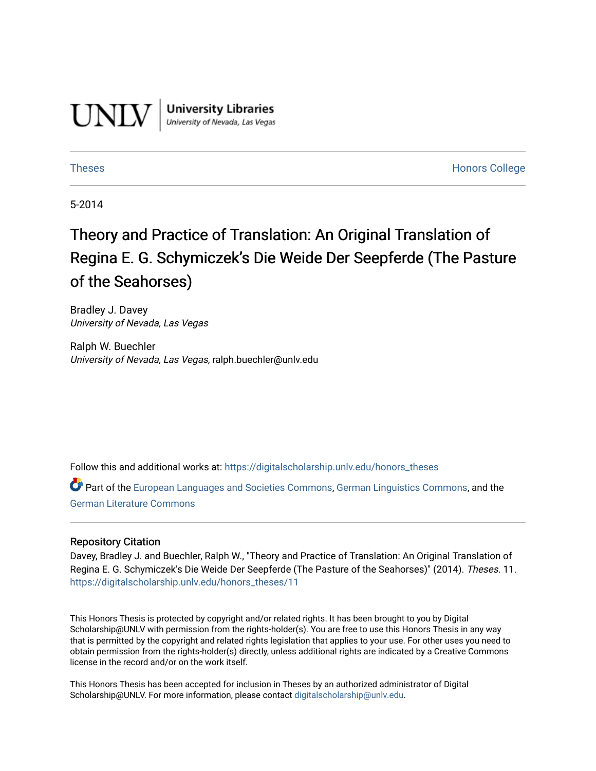

**University Libraries**<br>University of Nevada, Las Vegas

[Theses](https://digitalscholarship.unlv.edu/honors_theses) **Honors College** [Honors College](https://digitalscholarship.unlv.edu/honors) **Honors College** 

5-2014

## Theory and Practice of Translation: An Original Translation of Regina E. G. Schymiczek's Die Weide Der Seepferde (The Pasture of the Seahorses)

Bradley J. Davey University of Nevada, Las Vegas

Ralph W. Buechler University of Nevada, Las Vegas, ralph.buechler@unlv.edu

Follow this and additional works at: [https://digitalscholarship.unlv.edu/honors\\_theses](https://digitalscholarship.unlv.edu/honors_theses?utm_source=digitalscholarship.unlv.edu%2Fhonors_theses%2F11&utm_medium=PDF&utm_campaign=PDFCoverPages) 

Part of the [European Languages and Societies Commons,](http://network.bepress.com/hgg/discipline/482?utm_source=digitalscholarship.unlv.edu%2Fhonors_theses%2F11&utm_medium=PDF&utm_campaign=PDFCoverPages) [German Linguistics Commons](http://network.bepress.com/hgg/discipline/468?utm_source=digitalscholarship.unlv.edu%2Fhonors_theses%2F11&utm_medium=PDF&utm_campaign=PDFCoverPages), and the [German Literature Commons](http://network.bepress.com/hgg/discipline/469?utm_source=digitalscholarship.unlv.edu%2Fhonors_theses%2F11&utm_medium=PDF&utm_campaign=PDFCoverPages) 

### Repository Citation

Davey, Bradley J. and Buechler, Ralph W., "Theory and Practice of Translation: An Original Translation of Regina E. G. Schymiczek's Die Weide Der Seepferde (The Pasture of the Seahorses)" (2014). Theses. 11. [https://digitalscholarship.unlv.edu/honors\\_theses/11](https://digitalscholarship.unlv.edu/honors_theses/11?utm_source=digitalscholarship.unlv.edu%2Fhonors_theses%2F11&utm_medium=PDF&utm_campaign=PDFCoverPages)

This Honors Thesis is protected by copyright and/or related rights. It has been brought to you by Digital Scholarship@UNLV with permission from the rights-holder(s). You are free to use this Honors Thesis in any way that is permitted by the copyright and related rights legislation that applies to your use. For other uses you need to obtain permission from the rights-holder(s) directly, unless additional rights are indicated by a Creative Commons license in the record and/or on the work itself.

This Honors Thesis has been accepted for inclusion in Theses by an authorized administrator of Digital Scholarship@UNLV. For more information, please contact [digitalscholarship@unlv.edu.](mailto:digitalscholarship@unlv.edu)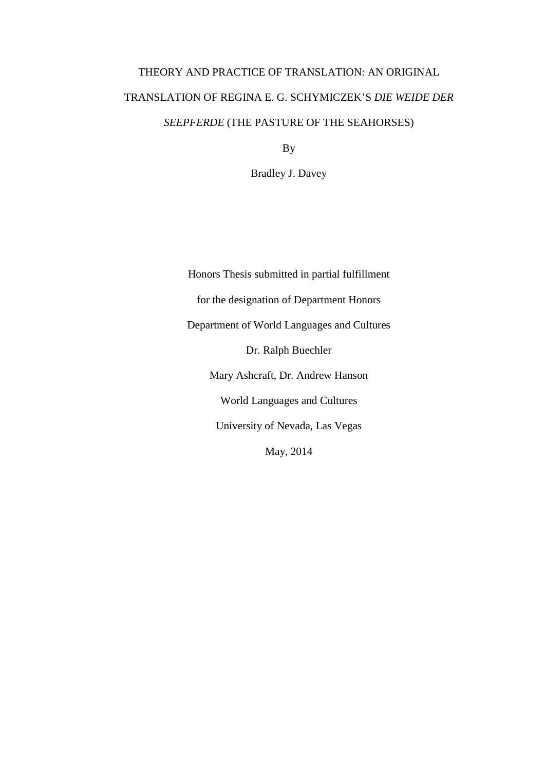# THEORY AND PRACTICE OF TRANSLATION: AN ORIGINAL TRANSLATION OF REGINA E. G. SCHYMICZEK'S *DIE WEIDE DER SEEPFERDE* (THE PASTURE OF THE SEAHORSES)

By

Bradley J. Davey

Honors Thesis submitted in partial fulfillment for the designation of Department Honors Department of World Languages and Cultures Dr. Ralph Buechler Mary Ashcraft, Dr. Andrew Hanson World Languages and Cultures University of Nevada, Las Vegas May, 2014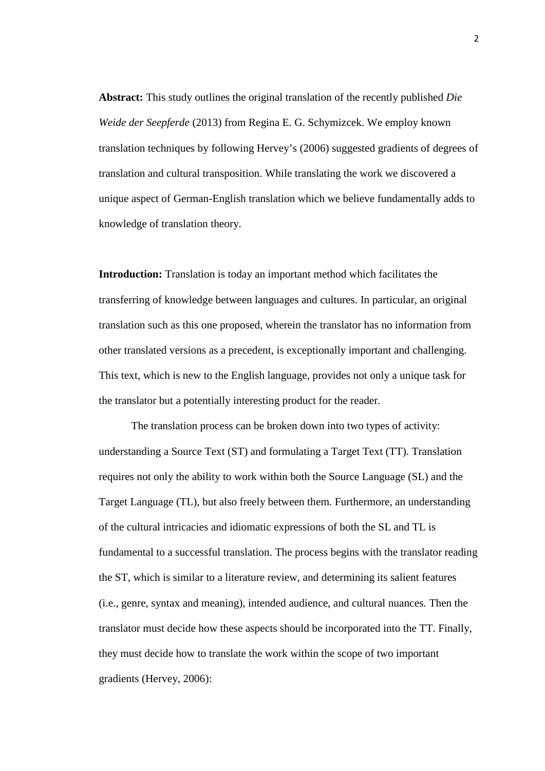**Abstract:** This study outlines the original translation of the recently published *Die Weide der Seepferde* (2013) from Regina E. G. Schymizcek. We employ known translation techniques by following Hervey's (2006) suggested gradients of degrees of translation and cultural transposition. While translating the work we discovered a unique aspect of German-English translation which we believe fundamentally adds to knowledge of translation theory.

**Introduction:** Translation is today an important method which facilitates the transferring of knowledge between languages and cultures. In particular, an original translation such as this one proposed, wherein the translator has no information from other translated versions as a precedent, is exceptionally important and challenging. This text, which is new to the English language, provides not only a unique task for the translator but a potentially interesting product for the reader.

The translation process can be broken down into two types of activity: understanding a Source Text (ST) and formulating a Target Text (TT). Translation requires not only the ability to work within both the Source Language (SL) and the Target Language (TL), but also freely between them. Furthermore, an understanding of the cultural intricacies and idiomatic expressions of both the SL and TL is fundamental to a successful translation. The process begins with the translator reading the ST, which is similar to a literature review, and determining its salient features (i.e., genre, syntax and meaning), intended audience, and cultural nuances. Then the translator must decide how these aspects should be incorporated into the TT. Finally, they must decide how to translate the work within the scope of two important gradients (Hervey, 2006):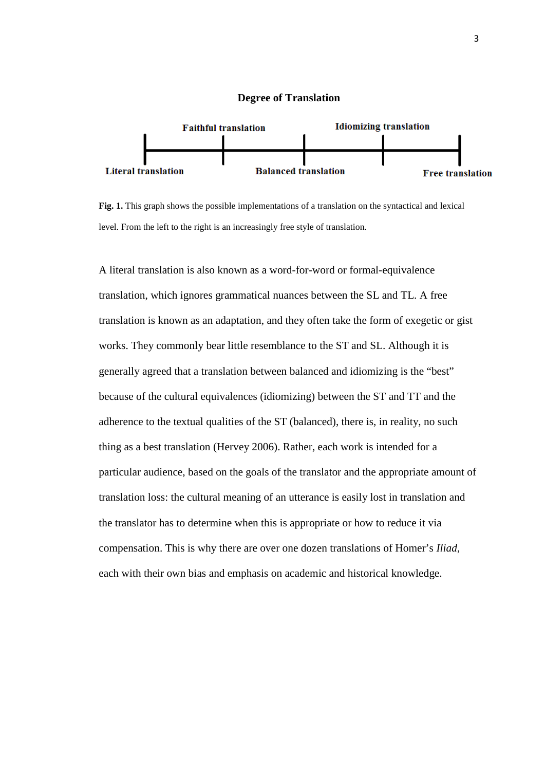



**Fig. 1.** This graph shows the possible implementations of a translation on the syntactical and lexical level. From the left to the right is an increasingly free style of translation.

A literal translation is also known as a word-for-word or formal-equivalence translation, which ignores grammatical nuances between the SL and TL. A free translation is known as an adaptation, and they often take the form of exegetic or gist works. They commonly bear little resemblance to the ST and SL. Although it is generally agreed that a translation between balanced and idiomizing is the "best" because of the cultural equivalences (idiomizing) between the ST and TT and the adherence to the textual qualities of the ST (balanced), there is, in reality, no such thing as a best translation (Hervey 2006). Rather, each work is intended for a particular audience, based on the goals of the translator and the appropriate amount of translation loss: the cultural meaning of an utterance is easily lost in translation and the translator has to determine when this is appropriate or how to reduce it via compensation. This is why there are over one dozen translations of Homer's *Iliad*, each with their own bias and emphasis on academic and historical knowledge.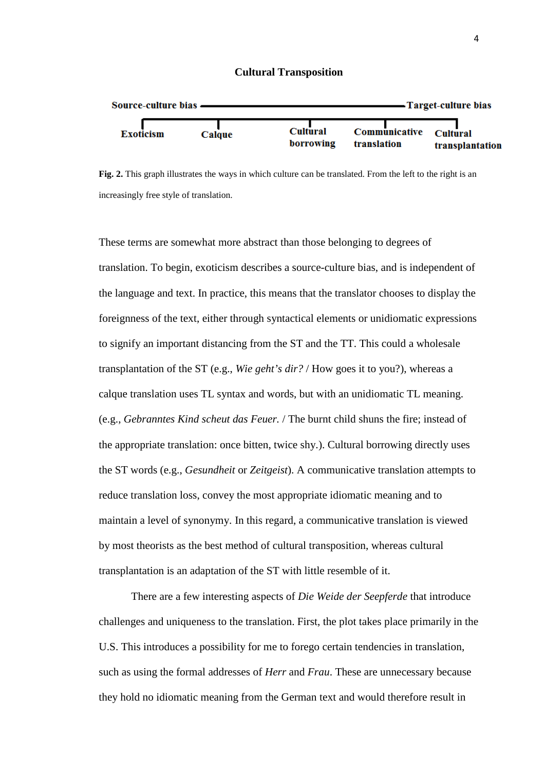| Source-culture bias - |        |                              | - Target-culture bias                 |                 |
|-----------------------|--------|------------------------------|---------------------------------------|-----------------|
| <b>Exoticism</b>      | Calque | <b>Cultural</b><br>borrowing | Communicative Cultural<br>translation | transplantation |

### **Cultural Transposition**

**Fig. 2.** This graph illustrates the ways in which culture can be translated. From the left to the right is an increasingly free style of translation.

These terms are somewhat more abstract than those belonging to degrees of translation. To begin, exoticism describes a source-culture bias, and is independent of the language and text. In practice, this means that the translator chooses to display the foreignness of the text, either through syntactical elements or unidiomatic expressions to signify an important distancing from the ST and the TT. This could a wholesale transplantation of the ST (e.g., *Wie geht's dir?* / How goes it to you?), whereas a calque translation uses TL syntax and words, but with an unidiomatic TL meaning. (e.g., *Gebranntes Kind scheut das Feuer.* / The burnt child shuns the fire; instead of the appropriate translation: once bitten, twice shy.). Cultural borrowing directly uses the ST words (e.g., *Gesundheit* or *Zeitgeist*). A communicative translation attempts to reduce translation loss, convey the most appropriate idiomatic meaning and to maintain a level of synonymy. In this regard, a communicative translation is viewed by most theorists as the best method of cultural transposition, whereas cultural transplantation is an adaptation of the ST with little resemble of it.

There are a few interesting aspects of *Die Weide der Seepferde* that introduce challenges and uniqueness to the translation. First, the plot takes place primarily in the U.S. This introduces a possibility for me to forego certain tendencies in translation, such as using the formal addresses of *Herr* and *Frau*. These are unnecessary because they hold no idiomatic meaning from the German text and would therefore result in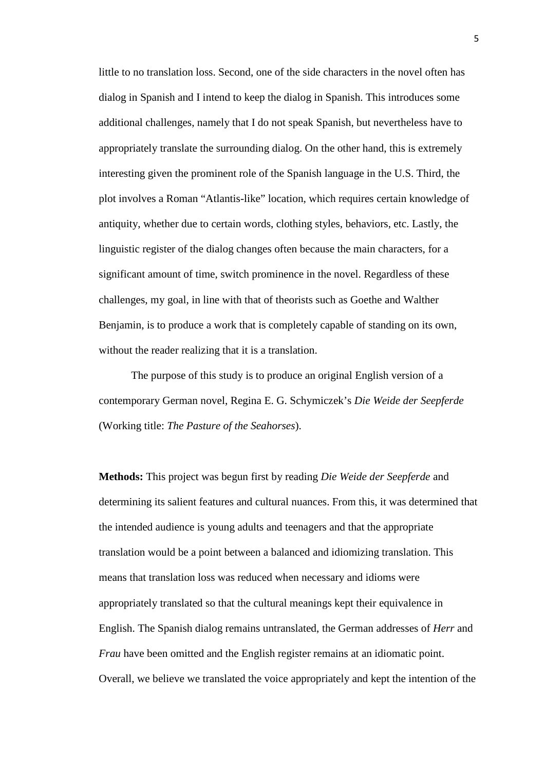little to no translation loss. Second, one of the side characters in the novel often has dialog in Spanish and I intend to keep the dialog in Spanish. This introduces some additional challenges, namely that I do not speak Spanish, but nevertheless have to appropriately translate the surrounding dialog. On the other hand, this is extremely interesting given the prominent role of the Spanish language in the U.S. Third, the plot involves a Roman "Atlantis-like" location, which requires certain knowledge of antiquity, whether due to certain words, clothing styles, behaviors, etc. Lastly, the linguistic register of the dialog changes often because the main characters, for a significant amount of time, switch prominence in the novel. Regardless of these challenges, my goal, in line with that of theorists such as Goethe and Walther Benjamin, is to produce a work that is completely capable of standing on its own, without the reader realizing that it is a translation.

The purpose of this study is to produce an original English version of a contemporary German novel, Regina E. G. Schymiczek's *Die Weide der Seepferde* (Working title: *The Pasture of the Seahorses*).

**Methods:** This project was begun first by reading *Die Weide der Seepferde* and determining its salient features and cultural nuances. From this, it was determined that the intended audience is young adults and teenagers and that the appropriate translation would be a point between a balanced and idiomizing translation. This means that translation loss was reduced when necessary and idioms were appropriately translated so that the cultural meanings kept their equivalence in English. The Spanish dialog remains untranslated, the German addresses of *Herr* and *Frau* have been omitted and the English register remains at an idiomatic point. Overall, we believe we translated the voice appropriately and kept the intention of the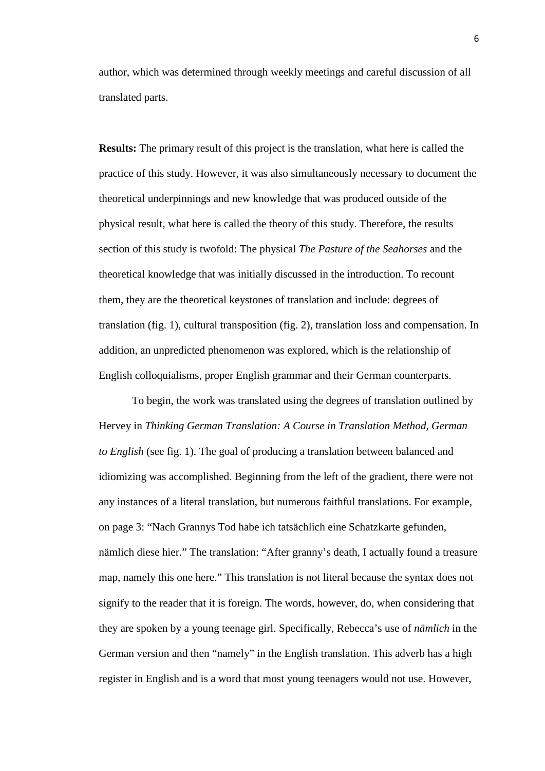author, which was determined through weekly meetings and careful discussion of all translated parts.

**Results:** The primary result of this project is the translation, what here is called the practice of this study. However, it was also simultaneously necessary to document the theoretical underpinnings and new knowledge that was produced outside of the physical result, what here is called the theory of this study. Therefore, the results section of this study is twofold: The physical *The Pasture of the Seahorses* and the theoretical knowledge that was initially discussed in the introduction. To recount them, they are the theoretical keystones of translation and include: degrees of translation (fig. 1), cultural transposition (fig. 2), translation loss and compensation. In addition, an unpredicted phenomenon was explored, which is the relationship of English colloquialisms, proper English grammar and their German counterparts.

To begin, the work was translated using the degrees of translation outlined by Hervey in *Thinking German Translation: A Course in Translation Method, German to English* (see fig. 1). The goal of producing a translation between balanced and idiomizing was accomplished. Beginning from the left of the gradient, there were not any instances of a literal translation, but numerous faithful translations. For example, on page 3: "Nach Grannys Tod habe ich tatsächlich eine Schatzkarte gefunden, nämlich diese hier." The translation: "After granny's death, I actually found a treasure map, namely this one here." This translation is not literal because the syntax does not signify to the reader that it is foreign. The words, however, do, when considering that they are spoken by a young teenage girl. Specifically, Rebecca's use of *nämlich* in the German version and then "namely" in the English translation. This adverb has a high register in English and is a word that most young teenagers would not use. However,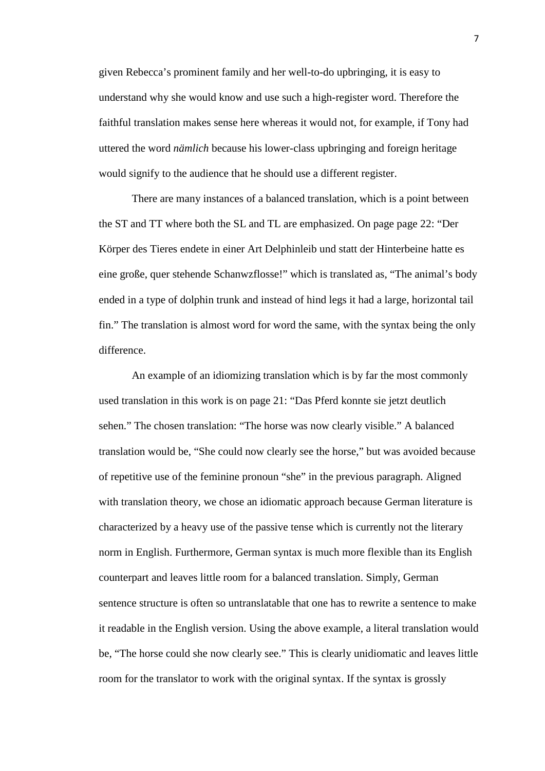given Rebecca's prominent family and her well-to-do upbringing, it is easy to understand why she would know and use such a high-register word. Therefore the faithful translation makes sense here whereas it would not, for example, if Tony had uttered the word *nämlich* because his lower-class upbringing and foreign heritage would signify to the audience that he should use a different register.

There are many instances of a balanced translation, which is a point between the ST and TT where both the SL and TL are emphasized. On page page 22: "Der Körper des Tieres endete in einer Art Delphinleib und statt der Hinterbeine hatte es eine große, quer stehende Schanwzflosse!" which is translated as, "The animal's body ended in a type of dolphin trunk and instead of hind legs it had a large, horizontal tail fin." The translation is almost word for word the same, with the syntax being the only difference.

An example of an idiomizing translation which is by far the most commonly used translation in this work is on page 21: "Das Pferd konnte sie jetzt deutlich sehen." The chosen translation: "The horse was now clearly visible." A balanced translation would be, "She could now clearly see the horse," but was avoided because of repetitive use of the feminine pronoun "she" in the previous paragraph. Aligned with translation theory, we chose an idiomatic approach because German literature is characterized by a heavy use of the passive tense which is currently not the literary norm in English. Furthermore, German syntax is much more flexible than its English counterpart and leaves little room for a balanced translation. Simply, German sentence structure is often so untranslatable that one has to rewrite a sentence to make it readable in the English version. Using the above example, a literal translation would be, "The horse could she now clearly see." This is clearly unidiomatic and leaves little room for the translator to work with the original syntax. If the syntax is grossly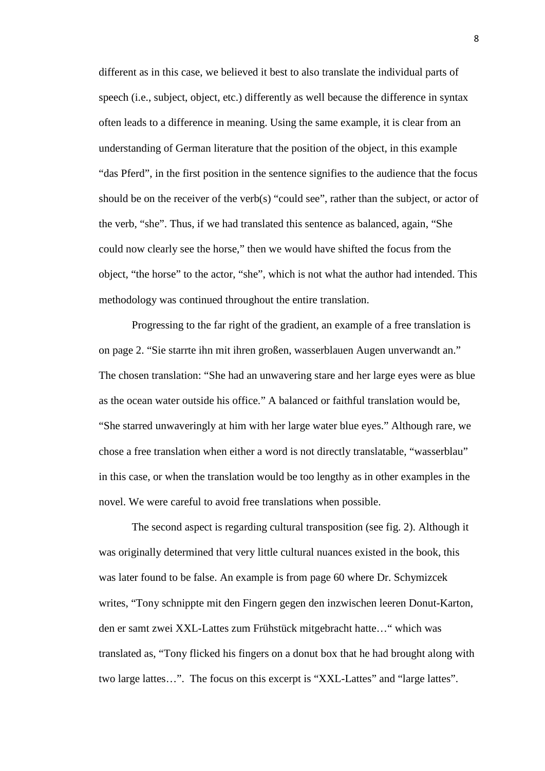different as in this case, we believed it best to also translate the individual parts of speech (i.e., subject, object, etc.) differently as well because the difference in syntax often leads to a difference in meaning. Using the same example, it is clear from an understanding of German literature that the position of the object, in this example "das Pferd", in the first position in the sentence signifies to the audience that the focus should be on the receiver of the verb(s) "could see", rather than the subject, or actor of the verb, "she". Thus, if we had translated this sentence as balanced, again, "She could now clearly see the horse," then we would have shifted the focus from the object, "the horse" to the actor, "she", which is not what the author had intended. This methodology was continued throughout the entire translation.

Progressing to the far right of the gradient, an example of a free translation is on page 2. "Sie starrte ihn mit ihren großen, wasserblauen Augen unverwandt an." The chosen translation: "She had an unwavering stare and her large eyes were as blue as the ocean water outside his office." A balanced or faithful translation would be, "She starred unwaveringly at him with her large water blue eyes." Although rare, we chose a free translation when either a word is not directly translatable, "wasserblau" in this case, or when the translation would be too lengthy as in other examples in the novel. We were careful to avoid free translations when possible.

The second aspect is regarding cultural transposition (see fig. 2). Although it was originally determined that very little cultural nuances existed in the book, this was later found to be false. An example is from page 60 where Dr. Schymizcek writes, "Tony schnippte mit den Fingern gegen den inzwischen leeren Donut-Karton, den er samt zwei XXL-Lattes zum Frühstück mitgebracht hatte…" which was translated as, "Tony flicked his fingers on a donut box that he had brought along with two large lattes…". The focus on this excerpt is "XXL-Lattes" and "large lattes".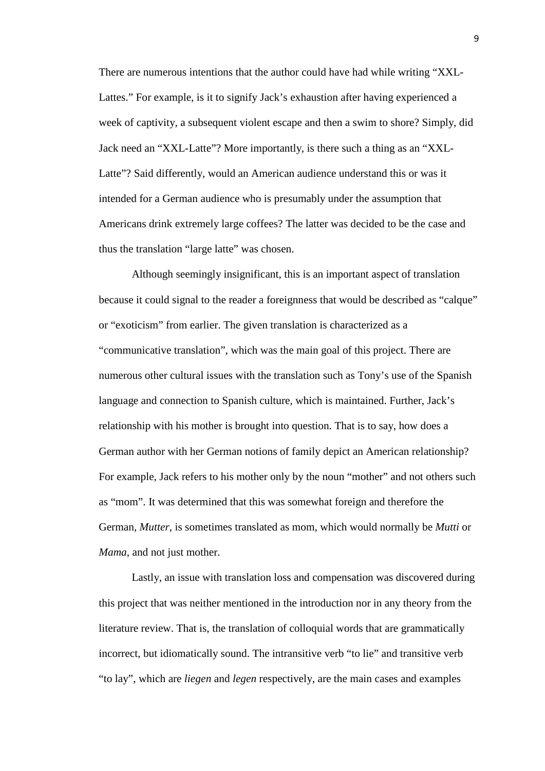There are numerous intentions that the author could have had while writing "XXL-Lattes." For example, is it to signify Jack's exhaustion after having experienced a week of captivity, a subsequent violent escape and then a swim to shore? Simply, did Jack need an "XXL-Latte"? More importantly, is there such a thing as an "XXL-Latte"? Said differently, would an American audience understand this or was it intended for a German audience who is presumably under the assumption that Americans drink extremely large coffees? The latter was decided to be the case and thus the translation "large latte" was chosen.

Although seemingly insignificant, this is an important aspect of translation because it could signal to the reader a foreignness that would be described as "calque" or "exoticism" from earlier. The given translation is characterized as a "communicative translation", which was the main goal of this project. There are numerous other cultural issues with the translation such as Tony's use of the Spanish language and connection to Spanish culture, which is maintained. Further, Jack's relationship with his mother is brought into question. That is to say, how does a German author with her German notions of family depict an American relationship? For example, Jack refers to his mother only by the noun "mother" and not others such as "mom". It was determined that this was somewhat foreign and therefore the German, *Mutter,* is sometimes translated as mom, which would normally be *Mutti* or *Mama*, and not just mother.

Lastly, an issue with translation loss and compensation was discovered during this project that was neither mentioned in the introduction nor in any theory from the literature review. That is, the translation of colloquial words that are grammatically incorrect, but idiomatically sound. The intransitive verb "to lie" and transitive verb "to lay", which are *liegen* and *legen* respectively, are the main cases and examples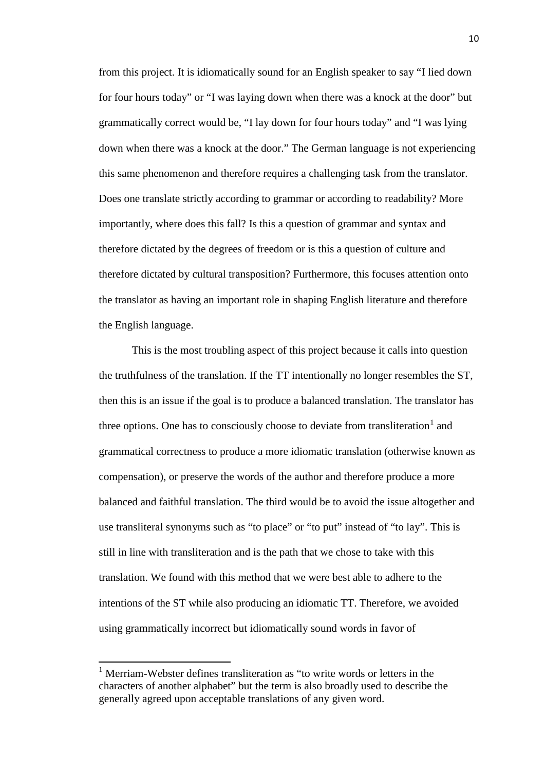from this project. It is idiomatically sound for an English speaker to say "I lied down for four hours today" or "I was laying down when there was a knock at the door" but grammatically correct would be, "I lay down for four hours today" and "I was lying down when there was a knock at the door." The German language is not experiencing this same phenomenon and therefore requires a challenging task from the translator. Does one translate strictly according to grammar or according to readability? More importantly, where does this fall? Is this a question of grammar and syntax and therefore dictated by the degrees of freedom or is this a question of culture and therefore dictated by cultural transposition? Furthermore, this focuses attention onto the translator as having an important role in shaping English literature and therefore the English language.

This is the most troubling aspect of this project because it calls into question the truthfulness of the translation. If the TT intentionally no longer resembles the ST, then this is an issue if the goal is to produce a balanced translation. The translator has three options. One has to consciously choose to deviate from transliteration<sup>[1](#page-10-0)</sup> and grammatical correctness to produce a more idiomatic translation (otherwise known as compensation), or preserve the words of the author and therefore produce a more balanced and faithful translation. The third would be to avoid the issue altogether and use transliteral synonyms such as "to place" or "to put" instead of "to lay". This is still in line with transliteration and is the path that we chose to take with this translation. We found with this method that we were best able to adhere to the intentions of the ST while also producing an idiomatic TT. Therefore, we avoided using grammatically incorrect but idiomatically sound words in favor of

<span id="page-10-0"></span><sup>&</sup>lt;sup>1</sup> Merriam-Webster defines transliteration as "to write words or letters in the characters of another alphabet" but the term is also broadly used to describe the generally agreed upon acceptable translations of any given word.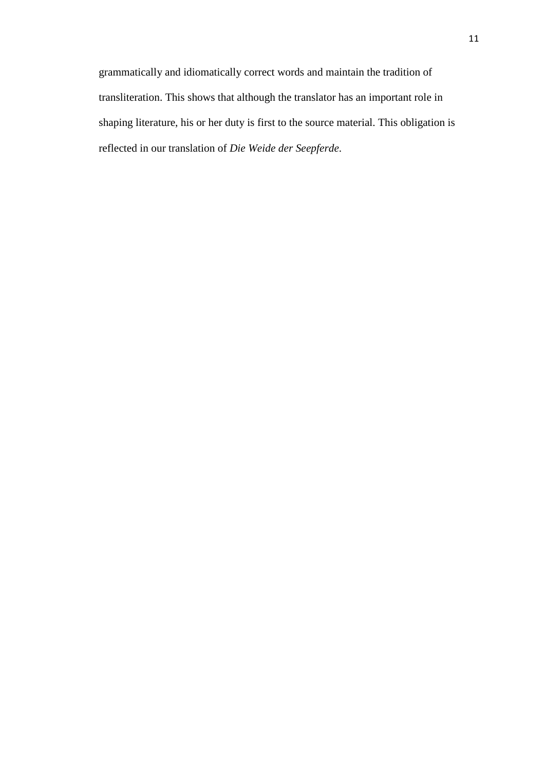grammatically and idiomatically correct words and maintain the tradition of transliteration. This shows that although the translator has an important role in shaping literature, his or her duty is first to the source material. This obligation is reflected in our translation of *Die Weide der Seepferde*.